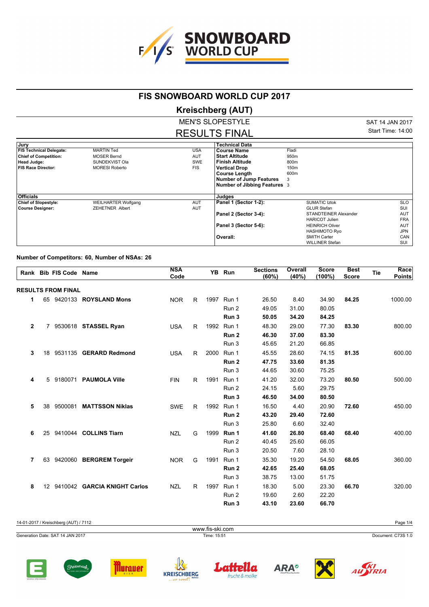

## **FIS SNOWBOARD WORLD CUP 2017**

## **Kreischberg (AUT)**

MEN'S SLOPESTYLE RESULTS FINAL SAT 14 JAN 2017 Start Time: 14:00

| Jury                           |                            |            | <b>Technical Data</b>          |                        |            |
|--------------------------------|----------------------------|------------|--------------------------------|------------------------|------------|
| <b>FIS Technical Delegate:</b> | <b>MARTIN Ted</b>          | <b>USA</b> | <b>Course Name</b>             | Fladi                  |            |
| <b>Chief of Competition:</b>   | <b>MOSER Bernd</b>         | <b>AUT</b> | <b>Start Altitude</b>          | 950m                   |            |
| <b>Head Judge:</b>             | SUNDEKVIST Ola             | SWE        | <b>Finish Altitude</b>         | 800m                   |            |
| <b>FIS Race Director:</b>      | <b>MORESI Roberto</b>      | <b>FIS</b> | <b>Vertical Drop</b>           | 150m                   |            |
|                                |                            |            | <b>Course Length</b>           | 600m                   |            |
|                                |                            |            | <b>Number of Jump Features</b> | 3                      |            |
|                                |                            |            | Number of Jibbing Features 3   |                        |            |
|                                |                            |            |                                |                        |            |
| <b>Officials</b>               |                            |            | Judges                         |                        |            |
| <b>Chief of Slopestyle:</b>    | <b>WEILHARTER Wolfgang</b> | <b>AUT</b> | Panel 1 (Sector 1-2):          | <b>SUMATIC Iztok</b>   | SLO        |
| <b>Course Designer:</b>        | <b>ZEHETNER Albert</b>     | <b>AUT</b> |                                | <b>GLUR Stefan</b>     | SUI        |
|                                |                            |            | Panel 2 (Sector 3-4):          | STANDTEINER Alexander  | <b>AUT</b> |
|                                |                            |            |                                | <b>HARICOT Julien</b>  | <b>FRA</b> |
|                                |                            |            | Panel 3 (Sector 5-6):          | <b>HEINRICH Oliver</b> | <b>AUT</b> |
|                                |                            |            |                                | <b>HASHIMOTO Ryo</b>   | JPN        |
|                                |                            |            | Overall:                       | <b>SMITH Carter</b>    | CAN        |
|                                |                            |            |                                | <b>WILLINER Stefan</b> | SUI        |

## **Number of Competitors: 60, Number of NSAs: 26**

| 1<br>$\mathbf{2}$ |                 | <b>RESULTS FROM FINAL</b> | 65 9420133 <b>ROYSLAND Mons</b>  | <b>NOR</b> | R. |      |            |       |       |       |       |         |
|-------------------|-----------------|---------------------------|----------------------------------|------------|----|------|------------|-------|-------|-------|-------|---------|
|                   |                 |                           |                                  |            |    |      |            |       |       |       |       |         |
|                   |                 |                           |                                  |            |    |      | 1997 Run 1 | 26.50 | 8.40  | 34.90 | 84.25 | 1000.00 |
|                   |                 |                           |                                  |            |    |      | Run 2      | 49.05 | 31.00 | 80.05 |       |         |
|                   |                 |                           |                                  |            |    |      | Run 3      | 50.05 | 34.20 | 84.25 |       |         |
|                   |                 |                           | 7 9530618 STASSEL Ryan           | <b>USA</b> | R. |      | 1992 Run 1 | 48.30 | 29.00 | 77.30 | 83.30 | 800.00  |
|                   |                 |                           |                                  |            |    |      | Run 2      | 46.30 | 37.00 | 83.30 |       |         |
|                   |                 |                           |                                  |            |    |      | Run 3      | 45.65 | 21.20 | 66.85 |       |         |
| 3                 |                 |                           | 18 9531135 <b>GERARD Redmond</b> | <b>USA</b> | R. | 2000 | Run 1      | 45.55 | 28.60 | 74.15 | 81.35 | 600.00  |
|                   |                 |                           |                                  |            |    |      | Run 2      | 47.75 | 33.60 | 81.35 |       |         |
|                   |                 |                           |                                  |            |    |      | Run 3      | 44.65 | 30.60 | 75.25 |       |         |
| 4                 |                 |                           | 5 9180071 PAUMOLA Ville          | <b>FIN</b> | R. | 1991 | Run 1      | 41.20 | 32.00 | 73.20 | 80.50 | 500.00  |
|                   |                 |                           |                                  |            |    |      | Run 2      | 24.15 | 5.60  | 29.75 |       |         |
|                   |                 |                           |                                  |            |    |      | Run 3      | 46.50 | 34.00 | 80.50 |       |         |
| 5                 | 38              | 9500081                   | <b>MATTSSON Niklas</b>           | <b>SWE</b> | R  |      | 1992 Run 1 | 16.50 | 4.40  | 20.90 | 72.60 | 450.00  |
|                   |                 |                           |                                  |            |    |      | Run 2      | 43.20 | 29.40 | 72.60 |       |         |
|                   |                 |                           |                                  |            |    |      | Run 3      | 25.80 | 6.60  | 32.40 |       |         |
| 6                 | 25              |                           | 9410044 COLLINS Tiarn            | <b>NZL</b> | G  | 1999 | Run 1      | 41.60 | 26.80 | 68.40 | 68.40 | 400.00  |
|                   |                 |                           |                                  |            |    |      | Run 2      | 40.45 | 25.60 | 66.05 |       |         |
|                   |                 |                           |                                  |            |    |      | Run 3      | 20.50 | 7.60  | 28.10 |       |         |
| $\overline{7}$    | 63              |                           | 9420060 BERGREM Torgeir          | <b>NOR</b> | G  |      | 1991 Run 1 | 35.30 | 19.20 | 54.50 | 68.05 | 360.00  |
|                   |                 |                           |                                  |            |    |      | Run 2      | 42.65 | 25.40 | 68.05 |       |         |
|                   |                 |                           |                                  |            |    |      | Run 3      | 38.75 | 13.00 | 51.75 |       |         |
| 8                 | 12 <sup>7</sup> |                           | 9410042 GARCIA KNIGHT Carlos     | <b>NZL</b> | R. |      | 1997 Run 1 | 18.30 | 5.00  | 23.30 | 66.70 | 320.00  |
|                   |                 |                           |                                  |            |    |      | Run 2      | 19.60 | 2.60  | 22.20 |       |         |
|                   |                 |                           |                                  |            |    |      | Run 3      | 43.10 | 23.60 | 66.70 |       |         |















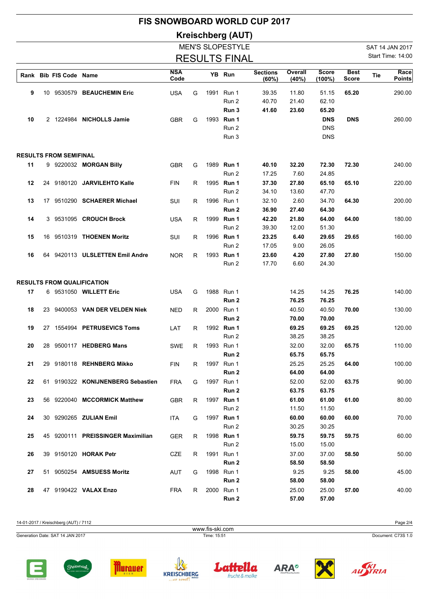|                                           | <b>FIS SNOWBOARD WORLD CUP 2017</b> |                               |                                                                |                          |        |      |                                   |                          |                         |                                        |                             |            |                       |
|-------------------------------------------|-------------------------------------|-------------------------------|----------------------------------------------------------------|--------------------------|--------|------|-----------------------------------|--------------------------|-------------------------|----------------------------------------|-----------------------------|------------|-----------------------|
|                                           |                                     |                               |                                                                |                          |        |      | <b>Kreischberg (AUT)</b>          |                          |                         |                                        |                             |            |                       |
|                                           |                                     |                               |                                                                |                          |        |      | <b>MEN'S SLOPESTYLE</b>           |                          |                         |                                        |                             |            | SAT 14 JAN 2017       |
| Start Time: 14:00<br><b>RESULTS FINAL</b> |                                     |                               |                                                                |                          |        |      |                                   |                          |                         |                                        |                             |            |                       |
|                                           |                                     | Rank Bib FIS Code Name        |                                                                | <b>NSA</b><br>Code       |        |      | YB Run                            | <b>Sections</b><br>(60%) | Overall<br>$(40\%)$     | <b>Score</b><br>$(100\%)$              | <b>Best</b><br><b>Score</b> | <b>Tie</b> | Race<br><b>Points</b> |
| 9                                         |                                     |                               | 10 9530579 BEAUCHEMIN Eric                                     | <b>USA</b>               | G      | 1991 | Run 1<br>Run 2<br>Run 3           | 39.35<br>40.70<br>41.60  | 11.80<br>21.40<br>23.60 | 51.15<br>62.10<br>65.20                | 65.20                       |            | 290.00                |
| 10                                        |                                     |                               | 2 1224984 NICHOLLS Jamie                                       | <b>GBR</b>               | G      |      | 1993 Run 1<br>Run 2<br>Run 3      |                          |                         | <b>DNS</b><br><b>DNS</b><br><b>DNS</b> | <b>DNS</b>                  |            | 260.00                |
|                                           |                                     | <b>RESULTS FROM SEMIFINAL</b> |                                                                |                          |        |      |                                   |                          |                         |                                        |                             |            |                       |
| 11                                        |                                     |                               | 9 9220032 MORGAN Billy                                         | <b>GBR</b>               | G      |      | 1989 Run 1<br>Run 2               | 40.10<br>17.25           | 32.20<br>7.60           | 72.30<br>24.85                         | 72.30                       |            | 240.00                |
| 12                                        |                                     |                               | 24 9180120 JARVILEHTO Kalle                                    | <b>FIN</b>               | R.     |      | 1995 Run 1<br>Run 2               | 37.30<br>34.10           | 27.80<br>13.60          | 65.10<br>47.70                         | 65.10                       |            | 220.00                |
| 13                                        |                                     |                               | 17 9510290 SCHAERER Michael<br>3 9531095 CROUCH Brock          | SUI                      | R      |      | 1996 Run 1<br>Run 2               | 32.10<br>36.90<br>42.20  | 2.60<br>27.40           | 34.70<br>64.30                         | 64.30                       |            | 200.00                |
| 14<br>15                                  |                                     |                               | 16 9510319 THOENEN Moritz                                      | <b>USA</b><br>SUI        | R<br>R |      | 1999 Run 1<br>Run 2<br>1996 Run 1 | 39.30<br>23.25           | 21.80<br>12.00<br>6.40  | 64.00<br>51.30<br>29.65                | 64.00<br>29.65              |            | 180.00<br>160.00      |
| 16                                        |                                     |                               | 64 9420113 ULSLETTEN Emil Andre                                | <b>NOR</b>               | R      |      | Run 2<br>1993 Run 1               | 17.05<br>23.60           | 9.00<br>4.20            | 26.05<br>27.80                         | 27.80                       |            | 150.00                |
|                                           |                                     |                               |                                                                |                          |        |      | Run 2                             | 17.70                    | 6.60                    | 24.30                                  |                             |            |                       |
|                                           |                                     |                               | <b>RESULTS FROM QUALIFICATION</b>                              |                          |        |      |                                   |                          |                         |                                        |                             |            |                       |
| 17                                        |                                     |                               | 6 9531050 WILLETT Eric                                         | <b>USA</b>               | G      |      | 1988 Run 1<br>Run 2               |                          | 14.25<br>76.25          | 14.25<br>76.25                         | 76.25                       |            | 140.00                |
| 18                                        |                                     |                               | 23 9400053 VAN DER VELDEN Niek                                 | <b>NED</b>               | R      |      | 2000 Run 1<br>Run 2               |                          | 40.50<br>70.00          | 40.50<br>70.00                         | 70.00                       |            | 130.00                |
| 19                                        |                                     |                               | 27 1554994 PETRUSEVICS Toms                                    | LAT                      | R      |      | 1992 Run 1<br>Run 2               |                          | 69.25<br>38.25          | 69.25<br>38.25                         | 69.25                       |            | 120.00                |
| 20                                        |                                     |                               | 28 9500117 HEDBERG Mans                                        | <b>SWE</b>               | R.     |      | 1993 Run 1<br>Run 2               |                          | 32.00<br>65.75          | 32.00<br>65.75                         | 65.75                       |            | 110.00                |
| 21<br>22                                  |                                     |                               | 29 9180118 REHNBERG Mikko<br>61 9190322 KONIJNENBERG Sebastien | <b>FIN</b><br><b>FRA</b> | R<br>G |      | 1997 Run 1<br>Run 2<br>1997 Run 1 |                          | 25.25<br>64.00<br>52.00 | 25.25<br>64.00<br>52.00                | 64.00<br>63.75              |            | 100.00<br>90.00       |
| 23                                        |                                     |                               | 56 9220040 MCCORMICK Matthew                                   | <b>GBR</b>               | R      |      | Run 2<br>1997 Run 1               |                          | 63.75<br>61.00          | 63.75<br>61.00                         | 61.00                       |            | 80.00                 |
| 24                                        |                                     |                               | 30 9290265 ZULIAN Emil                                         | <b>ITA</b>               | G      |      | Run 2<br>1997 Run 1               |                          | 11.50<br>60.00          | 11.50<br>60.00                         | 60.00                       |            | 70.00                 |
| 25                                        |                                     |                               | 45 9200111 PREISSINGER Maximilian                              | <b>GER</b>               | R      |      | Run 2<br>1998 Run 1               |                          | 30.25<br>59.75          | 30.25<br>59.75                         | 59.75                       |            | 60.00                 |
| 26                                        |                                     |                               | 39 9150120 HORAK Petr                                          | CZE                      | R      |      | Run 2<br>1991 Run 1               |                          | 15.00<br>37.00          | 15.00<br>37.00                         | 58.50                       |            | 50.00                 |
| 27                                        |                                     |                               | 51 9050254 AMSUESS Moritz                                      | AUT                      | G      |      | Run 2<br>1998 Run 1               |                          | 58.50<br>9.25           | 58.50<br>9.25                          | 58.00                       |            | 45.00                 |
| 28                                        |                                     |                               | 47 9190422 VALAX Enzo                                          | <b>FRA</b>               | R      |      | Run 2<br>2000 Run 1<br>Run 2      |                          | 58.00<br>25.00<br>57.00 | 58.00<br>25.00<br>57.00                | 57.00                       |            | 40.00                 |

14-01-2017 / Kreischberg (AUT) / 7112 Page 2/4 Generation Date: SAT 14 JAN 2017 Time: 15:51 Document: C73S 1.0 www.fis-ski.com













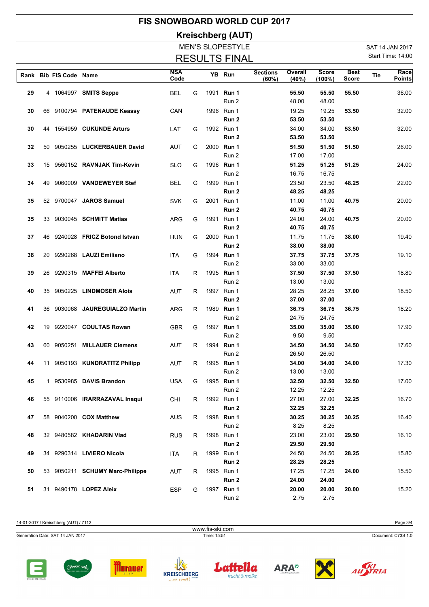|                                           |          |                        |                                                        |                          |        |      |                                   | <b>FIS SNOWBOARD WORLD CUP 2017</b> |                         |                           |                             |     |                       |
|-------------------------------------------|----------|------------------------|--------------------------------------------------------|--------------------------|--------|------|-----------------------------------|-------------------------------------|-------------------------|---------------------------|-----------------------------|-----|-----------------------|
|                                           |          |                        |                                                        |                          |        |      | Kreischberg (AUT)                 |                                     |                         |                           |                             |     |                       |
|                                           |          |                        |                                                        |                          |        |      | <b>MEN'S SLOPESTYLE</b>           |                                     |                         |                           |                             |     | SAT 14 JAN 2017       |
| Start Time: 14:00<br><b>RESULTS FINAL</b> |          |                        |                                                        |                          |        |      |                                   |                                     |                         |                           |                             |     |                       |
|                                           |          | Rank Bib FIS Code Name |                                                        | <b>NSA</b><br>Code       |        |      | YB Run                            | <b>Sections</b><br>(60%)            | Overall<br>(40%)        | <b>Score</b><br>$(100\%)$ | <b>Best</b><br><b>Score</b> | Tie | Race<br><b>Points</b> |
| 29                                        |          |                        | 4 1064997 SMITS Seppe                                  | <b>BEL</b>               | G      | 1991 | Run 1<br>Run 2                    |                                     | 55.50<br>48.00          | 55.50<br>48.00            | 55.50                       |     | 36.00                 |
| 30                                        |          |                        | 66 9100794 PATENAUDE Keassy                            | CAN                      |        |      | 1996 Run 1<br>Run 2               |                                     | 19.25<br>53.50          | 19.25<br>53.50            | 53.50                       |     | 32.00                 |
| 30                                        |          |                        | 44 1554959 CUKUNDE Arturs                              | LAT                      | G      |      | 1992 Run 1<br>Run 2               |                                     | 34.00<br>53.50          | 34.00<br>53.50            | 53.50                       |     | 32.00                 |
| 32                                        |          |                        | 50 9050255 LUCKERBAUER David                           | <b>AUT</b>               | G      |      | 2000 Run 1<br>Run 2               |                                     | 51.50<br>17.00          | 51.50<br>17.00            | 51.50                       |     | 26.00                 |
| 33                                        |          |                        | 15 9560152 RAVNJAK Tim-Kevin                           | <b>SLO</b>               | G      |      | 1996 Run 1<br>Run 2               |                                     | 51.25<br>16.75          | 51.25<br>16.75            | 51.25                       |     | 24.00                 |
| 34                                        | 49       |                        | 9060009 VANDEWEYER Stef                                | <b>BEL</b>               | G      |      | 1999 Run 1<br>Run 2               |                                     | 23.50<br>48.25          | 23.50<br>48.25            | 48.25                       |     | 22.00                 |
| 35                                        |          |                        | 52 9700047 JAROS Samuel                                | <b>SVK</b>               | G      |      | 2001 Run 1<br>Run 2               |                                     | 11.00<br>40.75          | 11.00<br>40.75            | 40.75                       |     | 20.00                 |
| 35                                        |          |                        | 33 9030045 <b>SCHMITT Matias</b>                       | ARG                      | G      |      | 1991 Run 1<br>Run <sub>2</sub>    |                                     | 24.00<br>40.75          | 24.00<br>40.75            | 40.75                       |     | 20.00                 |
| 37                                        |          |                        | 46 9240028 FRICZ Botond Istvan                         | <b>HUN</b>               | G      |      | 2000 Run 1<br>Run 2               |                                     | 11.75<br>38.00          | 11.75<br>38.00            | 38.00                       |     | 19.40                 |
| 38                                        | 20       |                        | 9290268 LAUZI Emiliano                                 | ITA                      | G      |      | 1994 Run 1<br>Run 2               |                                     | 37.75<br>33.00          | 37.75<br>33.00            | 37.75                       |     | 19.10                 |
| 39                                        | 26       |                        | 9290315 MAFFEI Alberto                                 | <b>ITA</b>               | R      |      | 1995 Run 1<br>Run 2               |                                     | 37.50<br>13.00          | 37.50<br>13.00            | 37.50                       |     | 18.80                 |
| 40<br>41                                  | 35<br>36 |                        | 9050225 LINDMOSER Alois<br>9030068 JAUREGUIALZO Martin | <b>AUT</b><br><b>ARG</b> | R<br>R |      | 1997 Run 1<br>Run 2<br>1989 Run 1 |                                     | 28.25<br>37.00<br>36.75 | 28.25<br>37.00<br>36.75   | 37.00<br>36.75              |     | 18.50<br>18.20        |
| 42                                        | 19       |                        | 9220047 COULTAS Rowan                                  | <b>GBR</b>               | G      | 1997 | Run 2<br>Run 1                    |                                     | 24.75<br>35.00          | 24.75<br>35.00            | 35.00                       |     | 17.90                 |
| 43                                        |          |                        | 60 9050251 MILLAUER Clemens                            | AUT                      | R      |      | Run 2<br>1994 Run 1               |                                     | 9.50<br>34.50           | 9.50<br>34.50             | 34.50                       |     | 17.60                 |
| 44                                        |          |                        | 11 9050193 KUNDRATITZ Philipp                          | <b>AUT</b>               | R      |      | Run 2<br>1995 Run 1               |                                     | 26.50<br>34.00          | 26.50<br>34.00            | 34.00                       |     | 17.30                 |
| 45                                        |          |                        | 1 9530985 DAVIS Brandon                                | <b>USA</b>               | G      |      | Run 2<br>1995 Run 1               |                                     | 13.00<br>32.50          | 13.00<br>32.50            | 32.50                       |     | 17.00                 |
| 46                                        |          |                        | 55 9110006 IRARRAZAVAL Inaqui                          | CHI                      | R      |      | Run 2<br>1992 Run 1               |                                     | 12.25<br>27.00          | 12.25<br>27.00            | 32.25                       |     | 16.70                 |
| 47                                        |          |                        | 58 9040200 COX Matthew                                 | <b>AUS</b>               | R      |      | Run <sub>2</sub><br>1998 Run 1    |                                     | 32.25<br>30.25          | 32.25<br>30.25            | 30.25                       |     | 16.40                 |
| 48                                        |          |                        | 32 9480582 KHADARIN Vlad                               | <b>RUS</b>               | R      |      | Run 2<br>1998 Run 1               |                                     | 8.25<br>23.00           | 8.25<br>23.00             | 29.50                       |     | 16.10                 |
| 49                                        |          |                        | 34 9290314 LIVIERO Nicola                              | <b>ITA</b>               | R      |      | Run <sub>2</sub><br>1999 Run 1    |                                     | 29.50<br>24.50          | 29.50<br>24.50            | 28.25                       |     | 15.80                 |
| 50                                        |          |                        | 53 9050211 SCHUMY Marc-Philippe                        | AUT                      | R      |      | Run 2<br>1995 Run 1               |                                     | 28.25<br>17.25          | 28.25<br>17.25            | 24.00                       |     | 15.50                 |
| 51                                        |          |                        | 31 9490178 LOPEZ Aleix                                 | ESP                      | G      |      | Run 2<br>1997 Run 1<br>Run 2      |                                     | 24.00<br>20.00<br>2.75  | 24.00<br>20.00<br>2.75    | 20.00                       |     | 15.20                 |

14-01-2017 / Kreischberg (AUT) / 7112 Page 3/4 Generation Date: SAT 14 JAN 2017 Time: 15:51 Document: C73S 1.0 www.fis-ski.com